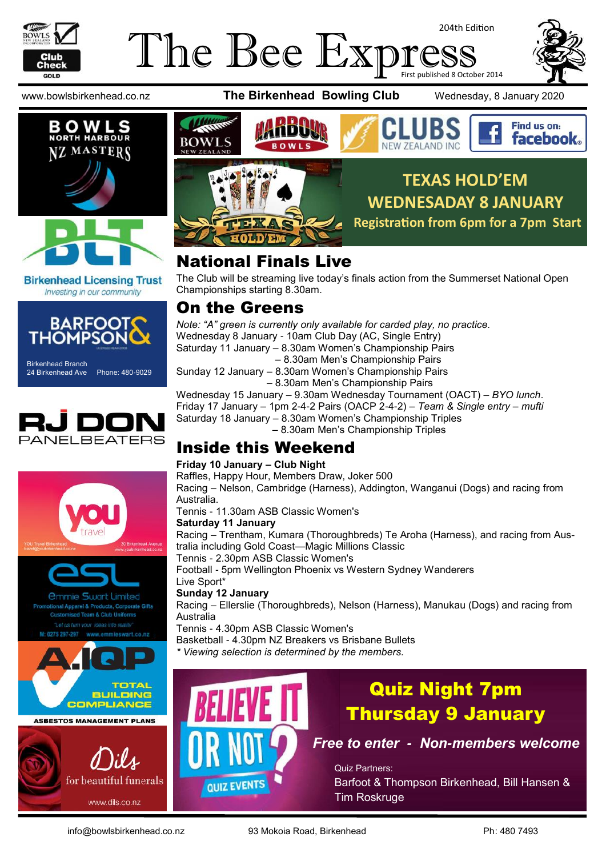

### The Bee Exp 204th Edition First published 8 October 2014





**Birkenhead Licensing Trust** Investing in our community



Birkenhead Branch 24 Birkenhead Ave Phone: 480-9029















## National Finals Live

The Club will be streaming live today's finals action from the Summerset National Open Championships starting 8.30am.

### On the Greens

*Note: "A" green is currently only available for carded play, no practice.* Wednesday 8 January - 10am Club Day (AC, Single Entry) Saturday 11 January – 8.30am Women's Championship Pairs – 8.30am Men's Championship Pairs Sunday 12 January – 8.30am Women's Championship Pairs – 8.30am Men's Championship Pairs

Wednesday 15 January – 9.30am Wednesday Tournament (OACT) – *BYO lunch*. Friday 17 January – 1pm 2-4-2 Pairs (OACP 2-4-2) – *Team & Single entry – mufti* Saturday 18 January – 8.30am Women's Championship Triples – 8.30am Men's Championship Triples

### Inside this Weekend

### **Friday 10 January – Club Night**

Raffles, Happy Hour, Members Draw, Joker 500 Racing – Nelson, Cambridge (Harness), Addington, Wanganui (Dogs) and racing from Australia.

Tennis - 11.30am ASB Classic Women's

### **Saturday 11 January**

Racing – Trentham, Kumara (Thoroughbreds) Te Aroha (Harness), and racing from Australia including Gold Coast—Magic Millions Classic

Tennis - 2.30pm ASB Classic Women's

Football - 5pm Wellington Phoenix vs Western Sydney Wanderers Live Sport\*

### **Sunday 12 January**

Racing – Ellerslie (Thoroughbreds), Nelson (Harness), Manukau (Dogs) and racing from Australia

Tennis - 4.30pm ASB Classic Women's

Basketball - 4.30pm NZ Breakers vs Brisbane Bullets

*\* Viewing selection is determined by the members.*



## Quiz Night 7pm Thursday 9 January

*Free to enter - Non-members welcome*

Quiz Partners: Barfoot & Thompson Birkenhead, Bill Hansen & Tim Roskruge